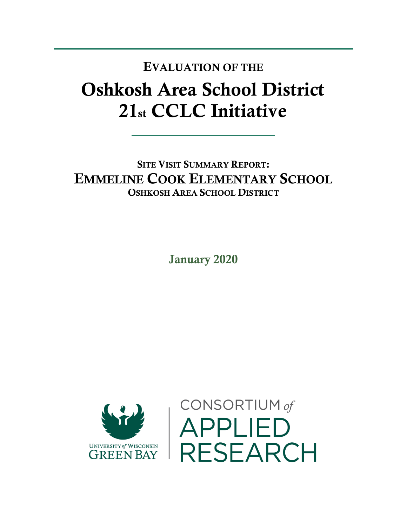## Oshkosh Area School District 21st CCLC Initiative EVALUATION OF THE

SITE VISIT SUMMARY REPORT: EMMELINE COOK ELEMENTARY SCHOOL OSHKOSH AREA SCHOOL DISTRICT

January 2020



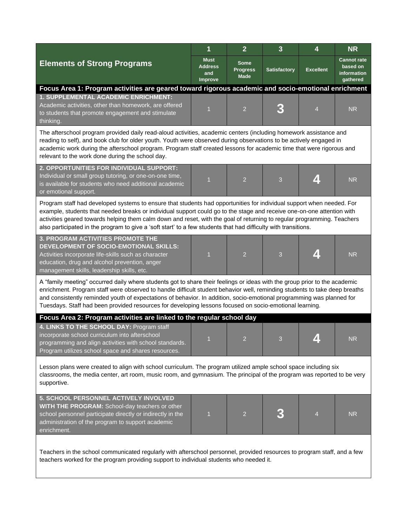|                                                                                                                                                                                                                                                                                                                                                                                                                                                                                               | 1                                               | $\overline{2}$                                | $\overline{3}$      | 4                | <b>NR</b>                                                 |  |  |  |
|-----------------------------------------------------------------------------------------------------------------------------------------------------------------------------------------------------------------------------------------------------------------------------------------------------------------------------------------------------------------------------------------------------------------------------------------------------------------------------------------------|-------------------------------------------------|-----------------------------------------------|---------------------|------------------|-----------------------------------------------------------|--|--|--|
| <b>Elements of Strong Programs</b>                                                                                                                                                                                                                                                                                                                                                                                                                                                            | <b>Must</b><br><b>Address</b><br>and<br>Improve | <b>Some</b><br><b>Progress</b><br><b>Made</b> | <b>Satisfactory</b> | <b>Excellent</b> | <b>Cannot rate</b><br>based on<br>information<br>gathered |  |  |  |
| Focus Area 1: Program activities are geared toward rigorous academic and socio-emotional enrichment                                                                                                                                                                                                                                                                                                                                                                                           |                                                 |                                               |                     |                  |                                                           |  |  |  |
| <b>1. SUPPLEMENTAL ACADEMIC ENRICHMENT:</b><br>Academic activities, other than homework, are offered<br>to students that promote engagement and stimulate<br>thinking.                                                                                                                                                                                                                                                                                                                        | $\overline{1}$                                  | $\overline{2}$                                |                     | $\overline{4}$   | <b>NR</b>                                                 |  |  |  |
| The afterschool program provided daily read-aloud activities, academic centers (including homework assistance and<br>reading to self), and book club for older youth. Youth were observed during observations to be actively engaged in<br>academic work during the afterschool program. Program staff created lessons for academic time that were rigorous and<br>relevant to the work done during the school day.                                                                           |                                                 |                                               |                     |                  |                                                           |  |  |  |
| 2. OPPORTUNITIES FOR INDIVIDUAL SUPPORT:<br>Individual or small group tutoring, or one-on-one time,<br>is available for students who need additional academic<br>or emotional support.                                                                                                                                                                                                                                                                                                        | $\overline{1}$                                  | $\overline{2}$                                | 3                   | $\mathcal{A}$ .  | <b>NR</b>                                                 |  |  |  |
| Program staff had developed systems to ensure that students had opportunities for individual support when needed. For<br>example, students that needed breaks or individual support could go to the stage and receive one-on-one attention with<br>activities geared towards helping them calm down and reset, with the goal of returning to regular programming. Teachers<br>also participated in the program to give a 'soft start' to a few students that had difficulty with transitions. |                                                 |                                               |                     |                  |                                                           |  |  |  |
| <b>3. PROGRAM ACTIVITIES PROMOTE THE</b><br>DEVELOPMENT OF SOCIO-EMOTIONAL SKILLS:<br>Activities incorporate life-skills such as character<br>education, drug and alcohol prevention, anger<br>management skills, leadership skills, etc.                                                                                                                                                                                                                                                     | 1                                               | $\overline{2}$                                | 3                   |                  | <b>NR</b>                                                 |  |  |  |
| A "family meeting" occurred daily where students got to share their feelings or ideas with the group prior to the academic<br>enrichment. Program staff were observed to handle difficult student behavior well, reminding students to take deep breaths<br>and consistently reminded youth of expectations of behavior. In addition, socio-emotional programming was planned for<br>Tuesdays. Staff had been provided resources for developing lessons focused on socio-emotional learning.  |                                                 |                                               |                     |                  |                                                           |  |  |  |
| Focus Area 2: Program activities are linked to the regular school day<br>4. LINKS TO THE SCHOOL DAY: Program staff<br>incorporate school curriculum into afterschool<br>programming and align activities with school standards.<br>Program utilizes school space and shares resources.                                                                                                                                                                                                        | $\sim$                                          | $\mathcal{P}$                                 |                     |                  | ${\sf NR}$                                                |  |  |  |
| Lesson plans were created to align with school curriculum. The program utilized ample school space including six<br>classrooms, the media center, art room, music room, and gymnasium. The principal of the program was reported to be very<br>supportive.                                                                                                                                                                                                                                    |                                                 |                                               |                     |                  |                                                           |  |  |  |
| 5. SCHOOL PERSONNEL ACTIVELY INVOLVED<br>WITH THE PROGRAM: School-day teachers or other<br>school personnel participate directly or indirectly in the<br>administration of the program to support academic<br>enrichment.                                                                                                                                                                                                                                                                     | 1                                               | $\overline{2}$                                |                     | $\overline{4}$   | <b>NR</b>                                                 |  |  |  |
| Teachers in the school communicated regularly with afterschool personnel, provided resources to program staff, and a few<br>teachers worked for the program providing support to individual students who needed it.                                                                                                                                                                                                                                                                           |                                                 |                                               |                     |                  |                                                           |  |  |  |